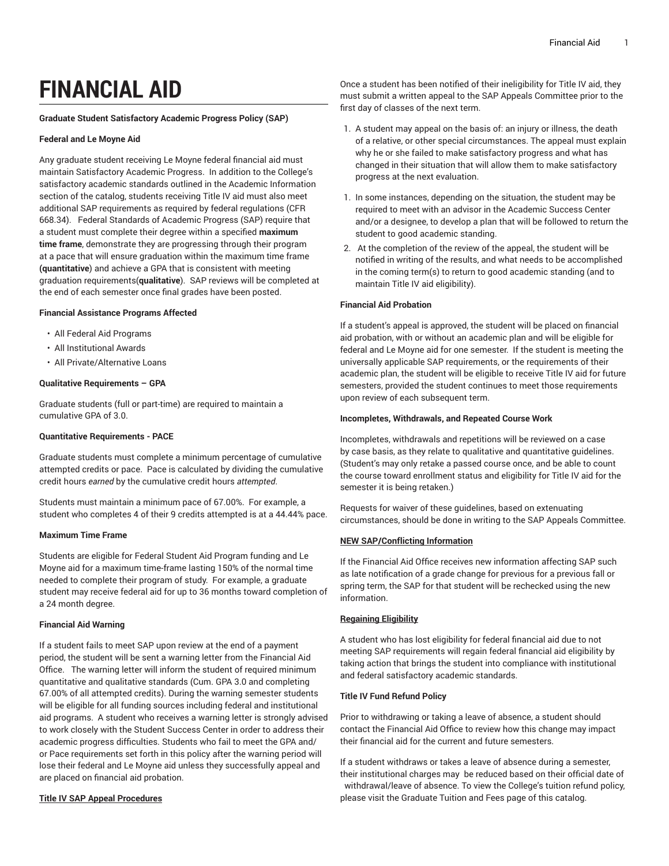# **FINANCIAL AID**

### **Graduate Student Satisfactory Academic Progress Policy (SAP)**

#### **Federal and Le Moyne Aid**

Any graduate student receiving Le Moyne federal financial aid must maintain Satisfactory Academic Progress. In addition to the College's satisfactory academic standards outlined in the Academic Information section of the catalog, students receiving Title IV aid must also meet additional SAP requirements as required by federal regulations (CFR 668.34). Federal Standards of Academic Progress (SAP) require that a student must complete their degree within a specified **maximum time frame**, demonstrate they are progressing through their program at a pace that will ensure graduation within the maximum time frame **(quantitative**) and achieve a GPA that is consistent with meeting graduation requirements(**qualitative**). SAP reviews will be completed at the end of each semester once final grades have been posted.

#### **Financial Assistance Programs Affected**

- All Federal Aid Programs
- All Institutional Awards
- All Private/Alternative Loans

#### **Qualitative Requirements – GPA**

Graduate students (full or part-time) are required to maintain a cumulative GPA of 3.0.

#### **Quantitative Requirements - PACE**

Graduate students must complete a minimum percentage of cumulative attempted credits or pace. Pace is calculated by dividing the cumulative credit hours *earned* by the cumulative credit hours *attempted*.

Students must maintain a minimum pace of 67.00%. For example, a student who completes 4 of their 9 credits attempted is at a 44.44% pace.

## **Maximum Time Frame**

Students are eligible for Federal Student Aid Program funding and Le Moyne aid for a maximum time-frame lasting 150% of the normal time needed to complete their program of study. For example, a graduate student may receive federal aid for up to 36 months toward completion of a 24 month degree.

#### **Financial Aid Warning**

If a student fails to meet SAP upon review at the end of a payment period, the student will be sent a warning letter from the Financial Aid Office. The warning letter will inform the student of required minimum quantitative and qualitative standards (Cum. GPA 3.0 and completing 67.00% of all attempted credits). During the warning semester students will be eligible for all funding sources including federal and institutional aid programs. A student who receives a warning letter is strongly advised to work closely with the Student Success Center in order to address their academic progress difficulties. Students who fail to meet the GPA and/ or Pace requirements set forth in this policy after the warning period will lose their federal and Le Moyne aid unless they successfully appeal and are placed on financial aid probation.

## **Title IV SAP Appeal Procedures**

Once a student has been notified of their ineligibility for Title IV aid, they must submit a written appeal to the SAP Appeals Committee prior to the first day of classes of the next term.

- 1. A student may appeal on the basis of: an injury or illness, the death of a relative, or other special circumstances. The appeal must explain why he or she failed to make satisfactory progress and what has changed in their situation that will allow them to make satisfactory progress at the next evaluation.
- 1. In some instances, depending on the situation, the student may be required to meet with an advisor in the Academic Success Center and/or a designee, to develop a plan that will be followed to return the student to good academic standing.
- 2. At the completion of the review of the appeal, the student will be notified in writing of the results, and what needs to be accomplished in the coming term(s) to return to good academic standing (and to maintain Title IV aid eligibility).

#### **Financial Aid Probation**

If a student's appeal is approved, the student will be placed on financial aid probation, with or without an academic plan and will be eligible for federal and Le Moyne aid for one semester. If the student is meeting the universally applicable SAP requirements, or the requirements of their academic plan, the student will be eligible to receive Title IV aid for future semesters, provided the student continues to meet those requirements upon review of each subsequent term.

#### **Incompletes, Withdrawals, and Repeated Course Work**

Incompletes, withdrawals and repetitions will be reviewed on a case by case basis, as they relate to qualitative and quantitative guidelines. (Student's may only retake a passed course once, and be able to count the course toward enrollment status and eligibility for Title IV aid for the semester it is being retaken.)

Requests for waiver of these guidelines, based on extenuating circumstances, should be done in writing to the SAP Appeals Committee.

## **NEW SAP/Conflicting Information**

If the Financial Aid Office receives new information affecting SAP such as late notification of a grade change for previous for a previous fall or spring term, the SAP for that student will be rechecked using the new information.

## **Regaining Eligibility**

A student who has lost eligibility for federal financial aid due to not meeting SAP requirements will regain federal financial aid eligibility by taking action that brings the student into compliance with institutional and federal satisfactory academic standards.

## **Title IV Fund Refund Policy**

Prior to withdrawing or taking a leave of absence, a student should contact the Financial Aid Office to review how this change may impact their financial aid for the current and future semesters.

If a student withdraws or takes a leave of absence during a semester, their institutional charges may be reduced based on their official date of withdrawal/leave of absence. To view the College's tuition refund policy, please visit the Graduate Tuition and Fees page of this catalog.